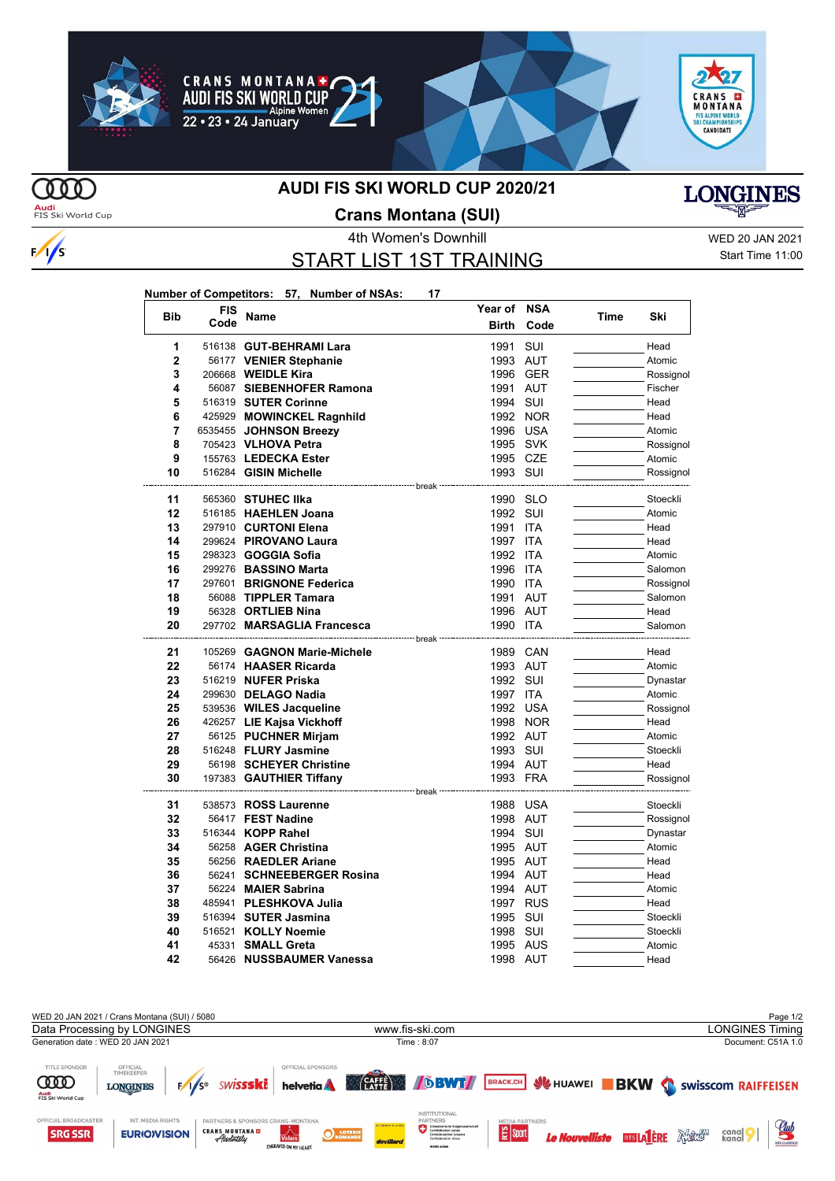

#### **CRANS MONTANA+ AUDI FIS SKI WORLD CUP** Vomen Alpine



**Year of NSA**



**MO Audi**<br>FIS Ski World Cup

 $\frac{1}{s}$ 

### **AUDI FIS SKI WORLD CUP 2020/21**



**Crans Montana (SUI)**

# START LIST 1ST TRAINING

4th Women's Downhill WED 20 JAN 2021 Start Time 11:00

| Number of Competitors: 57, Number of NSAs: |  |  | 17 |
|--------------------------------------------|--|--|----|
|--------------------------------------------|--|--|----|

| <b>Bib</b>   | FIS  | Name                                              | Year of      | NSA        | Time | Ski       |
|--------------|------|---------------------------------------------------|--------------|------------|------|-----------|
|              | Code |                                                   | <b>Birth</b> | Code       |      |           |
| 1            |      | 516138 GUT-BEHRAMI Lara                           | 1991         | SUI        |      | Head      |
| $\mathbf{2}$ |      | 56177 VENIER Stephanie                            | 1993 AUT     |            |      | Atomic    |
| 3            |      | 206668 <b>WEIDLE Kira</b>                         | 1996 GER     |            |      | Rossignol |
| 4            |      | 56087 SIEBENHOFER Ramona                          | 1991 AUT     |            |      | Fischer   |
| 5            |      | 516319 SUTER Corinne                              | 1994         | SUI        |      | Head      |
| 6            |      | 425929 MOWINCKEL Ragnhild                         | 1992 NOR     |            |      | Head      |
| 7            |      | 6535455 JOHNSON Breezy                            | 1996         | USA        |      | Atomic    |
| 8            |      | 705423 VLHOVA Petra                               | 1995 SVK     |            |      | Rossignol |
| 9            |      | 155763 LEDECKA Ester                              | 1995 CZE     |            |      | Atomic    |
| 10           |      | 516284 GISIN Michelle                             | 1993 SUI     |            |      | Rossignol |
| 11           |      | 565360 STUHEC IIka                                | 1990 SLO     |            |      | Stoeckli  |
| 12           |      | 516185 HAEHLEN Joana                              | 1992 SUI     |            |      | Atomic    |
| 13           |      | 297910 CURTONI Elena                              | 1991         | <b>ITA</b> |      | Head      |
| 14           |      | 299624 PIROVANO Laura                             | 1997         | <b>ITA</b> |      | Head      |
| 15           |      | 298323 <b>GOGGIA Sofia</b>                        | 1992         | ITA        |      | Atomic    |
| 16           |      | 299276 BASSINO Marta                              | 1996         | <b>ITA</b> |      | Salomon   |
| 17           |      | 297601 BRIGNONE Federica                          | 1990 ITA     |            |      | Rossignol |
| 18           |      | 56088 TIPPLER Tamara                              | 1991 AUT     |            |      | Salomon   |
| 19           |      | 56328 ORTLIEB Nina                                | 1996 AUT     |            |      | Head      |
| 20           |      | 297702 MARSAGLIA Francesca                        | 1990 ITA     |            |      | Salomon   |
|              |      |                                                   | · break      |            |      |           |
| 21           |      | 105269 GAGNON Marie-Michele                       | 1989         | CAN        |      | Head      |
| 22           |      | 56174 HAASER Ricarda                              | 1993 AUT     |            |      | Atomic    |
| 23           |      | 516219 NUFER Priska                               | 1992 SUI     |            |      | Dynastar  |
| 24           |      | 299630 DELAGO Nadia                               | 1997 ITA     |            |      | Atomic    |
| 25           |      | 539536 WILES Jacqueline                           | 1992 USA     |            |      | Rossignol |
| 26           |      | 426257 LIE Kajsa Vickhoff                         |              | 1998 NOR   |      | Head      |
| 27           |      | 56125 PUCHNER Mirjam                              | 1992 AUT     |            |      | Atomic    |
| 28           |      | 516248 FLURY Jasmine                              | 1993 SUI     |            |      | Stoeckli  |
| 29           |      | 56198 SCHEYER Christine                           | 1994 AUT     |            |      | Head      |
| 30           |      | 197383 GAUTHIER Tiffany                           | 1993 FRA     |            |      | Rossignol |
| 31           |      | ----------------- break -<br>538573 ROSS Laurenne | 1988 USA     |            |      | Stoeckli  |
| 32           |      | 56417 FEST Nadine                                 | 1998 AUT     |            |      | Rossignol |
| 33           |      | 516344 KOPP Rahel                                 | 1994 SUI     |            |      | Dynastar  |
| 34           |      | 56258 AGER Christina                              | 1995 AUT     |            |      | Atomic    |
| 35           |      | 56256 RAEDLER Ariane                              | 1995 AUT     |            |      | Head      |
| 36           |      | 56241 SCHNEEBERGER Rosina                         | 1994 AUT     |            |      | Head      |
| 37           |      | 56224 MAIER Sabrina                               | 1994 AUT     |            |      | Atomic    |
| 38           |      | 485941 PLESHKOVA Julia                            | 1997 RUS     |            |      | Head      |
| 39           |      | 516394 SUTER Jasmina                              | 1995 SUI     |            |      | Stoeckli  |
| 40           |      | 516521 KOLLY Noemie                               | 1998         | SUI        |      | Stoeckli  |
| 41           |      | 45331 SMALL Greta                                 | 1995 AUS     |            |      | Atomic    |
| 42           |      | 56426 NUSSBAUMER Vanessa                          | 1998 AUT     |            |      | Head      |